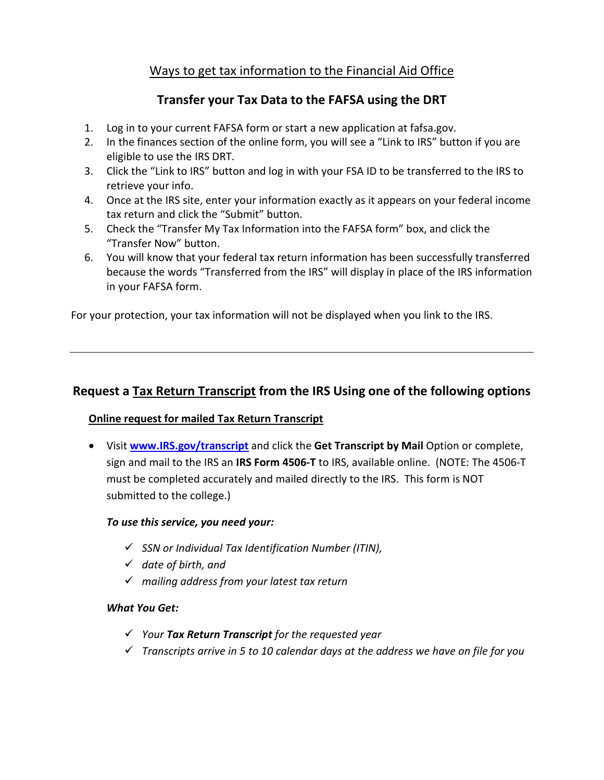# Ways to get tax information to the Financial Aid Office

## **Transfer your Tax Data to the FAFSA using the DRT**

- 1. Log in to your current FAFSA form or start a new application at [fafsa.gov.](https://fafsa.gov/)
- 2. In the finances section of the online form, you will see a "Link to IRS" button if you are eligible to use the IRS DRT.
- 3. Click the "Link to IRS" button and log in with your FSA ID to be transferred to the IRS to retrieve your info.
- 4. Once at the IRS site, enter your information exactly as it appears on your federal income tax return and click the "Submit" button.
- 5. Check the "Transfer My Tax Information into the FAFSA form" box, and click the "Transfer Now" button.
- 6. You will know that your federal tax return information has been successfully transferred because the words "Transferred from the IRS" will display in place of the IRS information in your FAFSA form.

For your protection, your tax information will not be displayed when you link to the IRS.

# **Request a Tax Return Transcript from the IRS Using one of the following options**

## **Online request for mailed Tax Return Transcript**

• Visit **[www.IRS.gov/transcript](http://www.irs.gov/transcript)** and click the **Get Transcript by Mail** Option or complete, sign and mail to the IRS an **IRS Form 4506-T** to IRS, available online. (NOTE: The 4506-T must be completed accurately and mailed directly to the IRS. This form is NOT submitted to the college.)

## *To use this service, you need your:*

- *SSN or Individual Tax Identification Number (ITIN),*
- *date of birth, and*
- *mailing address from your latest tax return*

## *What You Get:*

- *Your Tax Return Transcript for the requested year*
- *Transcripts arrive in 5 to 10 calendar days at the address we have on file for you*